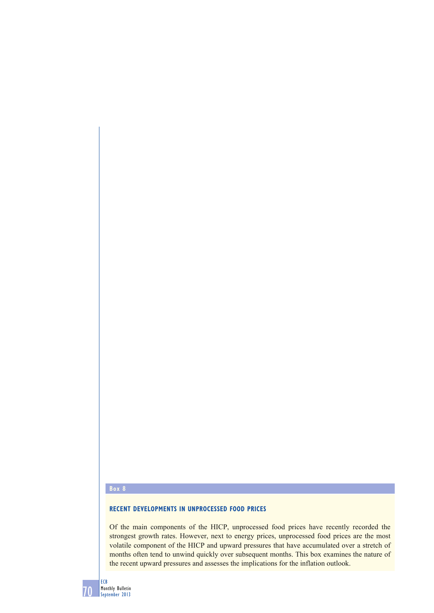#### **Box 8**

# **RECENT DEVELOPMENTS IN UNPROCESSED FOOD PRICES**

Of the main components of the HICP, unprocessed food prices have recently recorded the strongest growth rates. However, next to energy prices, unprocessed food prices are the most volatile component of the HICP and upward pressures that have accumulated over a stretch of months often tend to unwind quickly over subsequent months. This box examines the nature of the recent upward pressures and assesses the implications for the inflation outlook.

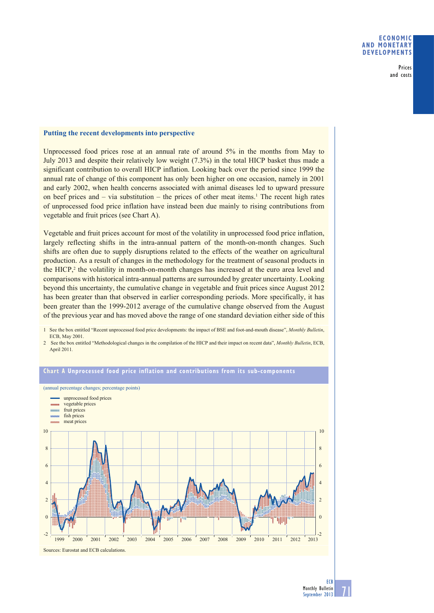### **ECONOMIC AND MONETARY DEVELOPMENTS**

Prices and costs

# **Putting the recent developments into perspective**

Unprocessed food prices rose at an annual rate of around 5% in the months from May to July 2013 and despite their relatively low weight (7.3%) in the total HICP basket thus made a significant contribution to overall HICP inflation. Looking back over the period since 1999 the annual rate of change of this component has only been higher on one occasion, namely in 2001 and early 2002, when health concerns associated with animal diseases led to upward pressure on beef prices and  $-$  via substitution  $-$  the prices of other meat items.<sup>1</sup> The recent high rates of unprocessed food price inflation have instead been due mainly to rising contributions from vegetable and fruit prices (see Chart A).

Vegetable and fruit prices account for most of the volatility in unprocessed food price inflation, largely reflecting shifts in the intra-annual pattern of the month-on-month changes. Such shifts are often due to supply disruptions related to the effects of the weather on agricultural production. As a result of changes in the methodology for the treatment of seasonal products in the HICP, $<sup>2</sup>$  the volatility in month-on-month changes has increased at the euro area level and</sup> comparisons with historical intra-annual patterns are surrounded by greater uncertainty. Looking beyond this uncertainty, the cumulative change in vegetable and fruit prices since August 2012 has been greater than that observed in earlier corresponding periods. More specifically, it has been greater than the 1999-2012 average of the cumulative change observed from the August of the previous year and has moved above the range of one standard deviation either side of this

1 See the box entitled "Recent unprocessed food price developments: the impact of BSE and foot-and-mouth disease", *Monthly Bulletin*, ECB, May 2001.

2 See the box entitled "Methodological changes in the compilation of the HICP and their impact on recent data", *Monthly Bulletin*, ECB, April 2011*.*



## **Chart A Unprocessed food price inflation and contributions from its sub-components**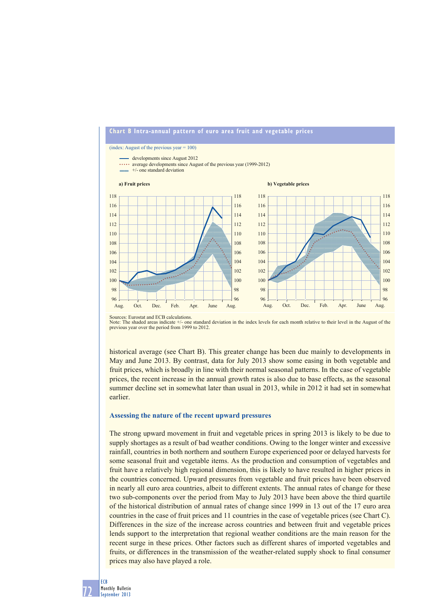

Sources: Eurostat and ECB calculations. Note: The shaded areas indicate +/- one standard deviation in the index levels for each month relative to their level in the August of the previous year over the period from 1999 to 2012.

historical average (see Chart B). This greater change has been due mainly to developments in May and June 2013. By contrast, data for July 2013 show some easing in both vegetable and fruit prices, which is broadly in line with their normal seasonal patterns. In the case of vegetable prices, the recent increase in the annual growth rates is also due to base effects, as the seasonal summer decline set in somewhat later than usual in 2013, while in 2012 it had set in somewhat earlier.

#### **Assessing the nature of the recent upward pressures**

The strong upward movement in fruit and vegetable prices in spring 2013 is likely to be due to supply shortages as a result of bad weather conditions. Owing to the longer winter and excessive rainfall, countries in both northern and southern Europe experienced poor or delayed harvests for some seasonal fruit and vegetable items. As the production and consumption of vegetables and fruit have a relatively high regional dimension, this is likely to have resulted in higher prices in the countries concerned. Upward pressures from vegetable and fruit prices have been observed in nearly all euro area countries, albeit to different extents. The annual rates of change for these two sub-components over the period from May to July 2013 have been above the third quartile of the historical distribution of annual rates of change since 1999 in 13 out of the 17 euro area countries in the case of fruit prices and 11 countries in the case of vegetable prices (see Chart C). Differences in the size of the increase across countries and between fruit and vegetable prices lends support to the interpretation that regional weather conditions are the main reason for the recent surge in these prices. Other factors such as different shares of imported vegetables and fruits, or differences in the transmission of the weather-related supply shock to final consumer prices may also have played a role.

72 ECB Monthly Bulletin September 2013